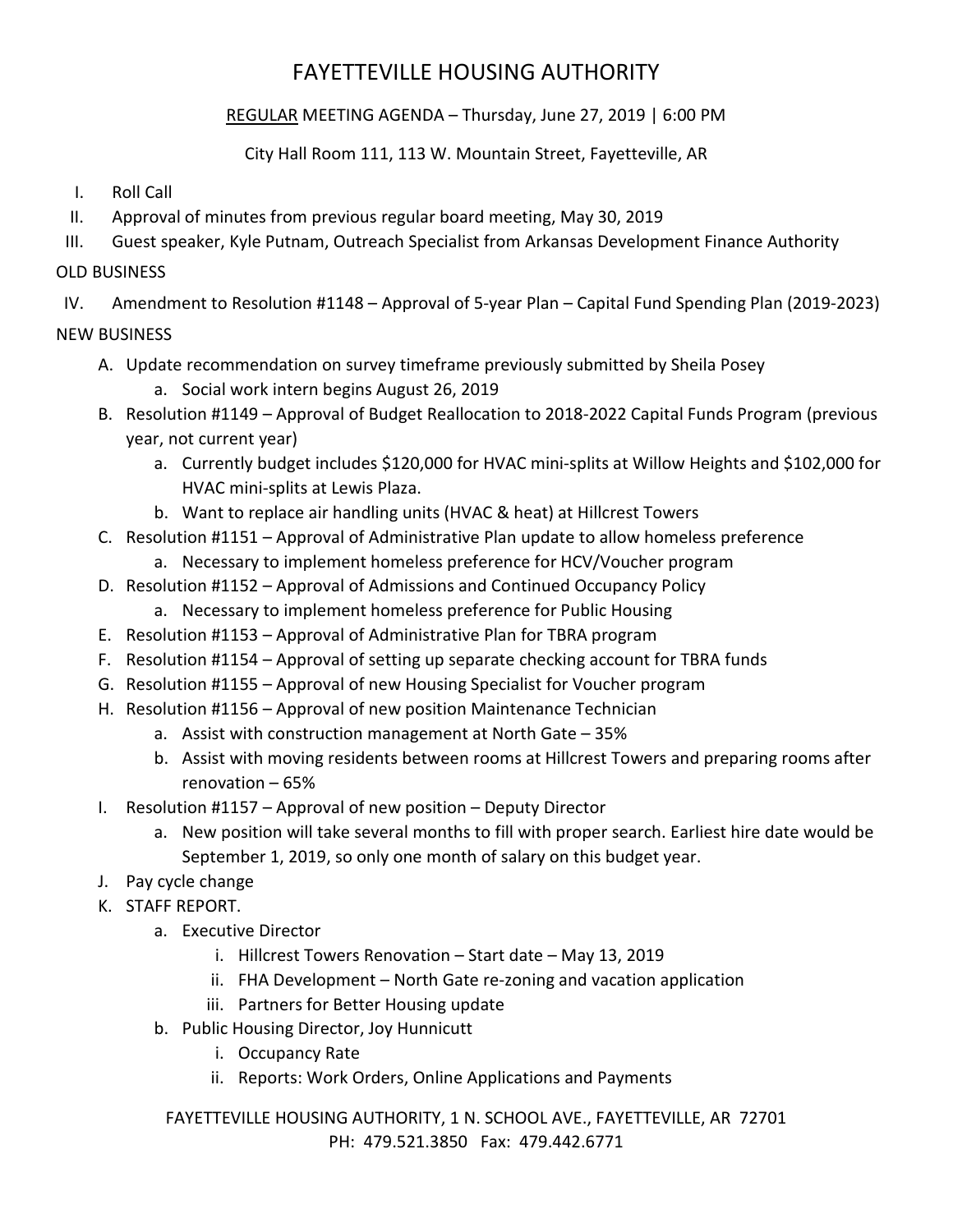# FAYETTEVILLE HOUSING AUTHORITY

# REGULAR MEETING AGENDA – Thursday, June 27, 2019 | 6:00 PM

### City Hall Room 111, 113 W. Mountain Street, Fayetteville, AR

- I. Roll Call
- II. Approval of minutes from previous regular board meeting, May 30, 2019
- III. Guest speaker, Kyle Putnam, Outreach Specialist from Arkansas Development Finance Authority

# OLD BUSINESS

IV. Amendment to Resolution #1148 – Approval of 5-year Plan – Capital Fund Spending Plan (2019-2023)

# NEW BUSINESS

- A. Update recommendation on survey timeframe previously submitted by Sheila Posey
	- a. Social work intern begins August 26, 2019
- B. Resolution #1149 Approval of Budget Reallocation to 2018-2022 Capital Funds Program (previous year, not current year)
	- a. Currently budget includes \$120,000 for HVAC mini-splits at Willow Heights and \$102,000 for HVAC mini-splits at Lewis Plaza.
	- b. Want to replace air handling units (HVAC & heat) at Hillcrest Towers
- C. Resolution #1151 Approval of Administrative Plan update to allow homeless preference
	- a. Necessary to implement homeless preference for HCV/Voucher program
- D. Resolution #1152 Approval of Admissions and Continued Occupancy Policy
	- a. Necessary to implement homeless preference for Public Housing
- E. Resolution #1153 Approval of Administrative Plan for TBRA program
- F. Resolution #1154 Approval of setting up separate checking account for TBRA funds
- G. Resolution #1155 Approval of new Housing Specialist for Voucher program
- H. Resolution #1156 Approval of new position Maintenance Technician
	- a. Assist with construction management at North Gate 35%
	- b. Assist with moving residents between rooms at Hillcrest Towers and preparing rooms after renovation – 65%
- I. Resolution #1157 Approval of new position Deputy Director
	- a. New position will take several months to fill with proper search. Earliest hire date would be September 1, 2019, so only one month of salary on this budget year.
- J. Pay cycle change
- K. STAFF REPORT.
	- a. Executive Director
		- i. Hillcrest Towers Renovation Start date May 13, 2019
		- ii. FHA Development North Gate re-zoning and vacation application
		- iii. Partners for Better Housing update
	- b. Public Housing Director, Joy Hunnicutt
		- i. Occupancy Rate
		- ii. Reports: Work Orders, Online Applications and Payments

FAYETTEVILLE HOUSING AUTHORITY, 1 N. SCHOOL AVE., FAYETTEVILLE, AR 72701 PH: 479.521.3850 Fax: 479.442.6771